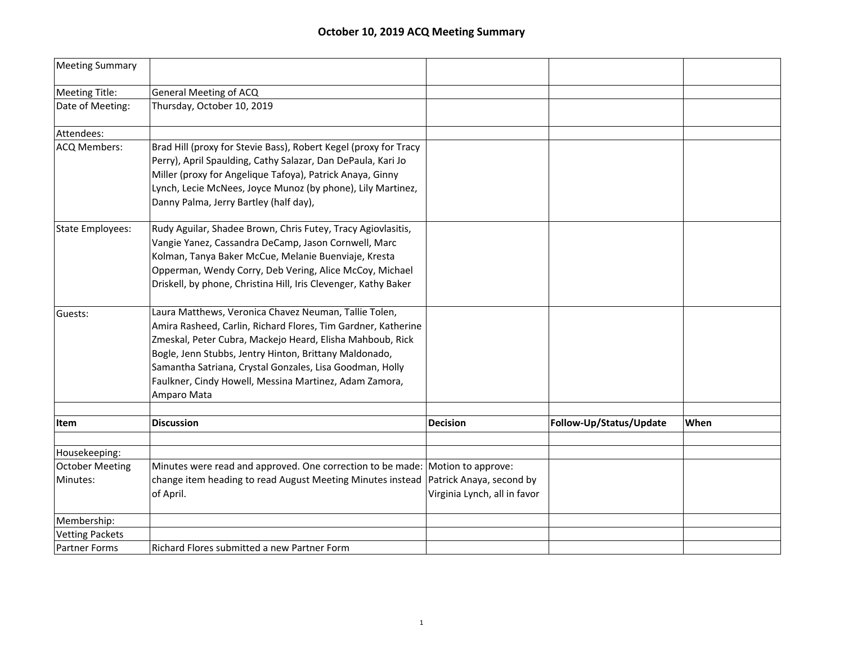| <b>Meeting Summary</b>  |                                                                                                                                                                                                                                                                                                                                                                                    |                              |                         |      |
|-------------------------|------------------------------------------------------------------------------------------------------------------------------------------------------------------------------------------------------------------------------------------------------------------------------------------------------------------------------------------------------------------------------------|------------------------------|-------------------------|------|
| <b>Meeting Title:</b>   | <b>General Meeting of ACQ</b>                                                                                                                                                                                                                                                                                                                                                      |                              |                         |      |
| Date of Meeting:        | Thursday, October 10, 2019                                                                                                                                                                                                                                                                                                                                                         |                              |                         |      |
| Attendees:              |                                                                                                                                                                                                                                                                                                                                                                                    |                              |                         |      |
| <b>ACQ Members:</b>     | Brad Hill (proxy for Stevie Bass), Robert Kegel (proxy for Tracy<br>Perry), April Spaulding, Cathy Salazar, Dan DePaula, Kari Jo<br>Miller (proxy for Angelique Tafoya), Patrick Anaya, Ginny<br>Lynch, Lecie McNees, Joyce Munoz (by phone), Lily Martinez,<br>Danny Palma, Jerry Bartley (half day),                                                                             |                              |                         |      |
| <b>State Employees:</b> | Rudy Aguilar, Shadee Brown, Chris Futey, Tracy Agiovlasitis,<br>Vangie Yanez, Cassandra DeCamp, Jason Cornwell, Marc<br>Kolman, Tanya Baker McCue, Melanie Buenviaje, Kresta<br>Opperman, Wendy Corry, Deb Vering, Alice McCoy, Michael<br>Driskell, by phone, Christina Hill, Iris Clevenger, Kathy Baker                                                                         |                              |                         |      |
| Guests:                 | Laura Matthews, Veronica Chavez Neuman, Tallie Tolen,<br>Amira Rasheed, Carlin, Richard Flores, Tim Gardner, Katherine<br>Zmeskal, Peter Cubra, Mackejo Heard, Elisha Mahboub, Rick<br>Bogle, Jenn Stubbs, Jentry Hinton, Brittany Maldonado,<br>Samantha Satriana, Crystal Gonzales, Lisa Goodman, Holly<br>Faulkner, Cindy Howell, Messina Martinez, Adam Zamora,<br>Amparo Mata |                              |                         |      |
| Item                    | <b>Discussion</b>                                                                                                                                                                                                                                                                                                                                                                  | <b>Decision</b>              | Follow-Up/Status/Update | When |
|                         |                                                                                                                                                                                                                                                                                                                                                                                    |                              |                         |      |
| Housekeeping:           |                                                                                                                                                                                                                                                                                                                                                                                    |                              |                         |      |
| <b>October Meeting</b>  | Minutes were read and approved. One correction to be made: Motion to approve:                                                                                                                                                                                                                                                                                                      |                              |                         |      |
| Minutes:                | change item heading to read August Meeting Minutes instead   Patrick Anaya, second by<br>of April.                                                                                                                                                                                                                                                                                 | Virginia Lynch, all in favor |                         |      |
| Membership:             |                                                                                                                                                                                                                                                                                                                                                                                    |                              |                         |      |
| <b>Vetting Packets</b>  |                                                                                                                                                                                                                                                                                                                                                                                    |                              |                         |      |
| <b>Partner Forms</b>    | Richard Flores submitted a new Partner Form                                                                                                                                                                                                                                                                                                                                        |                              |                         |      |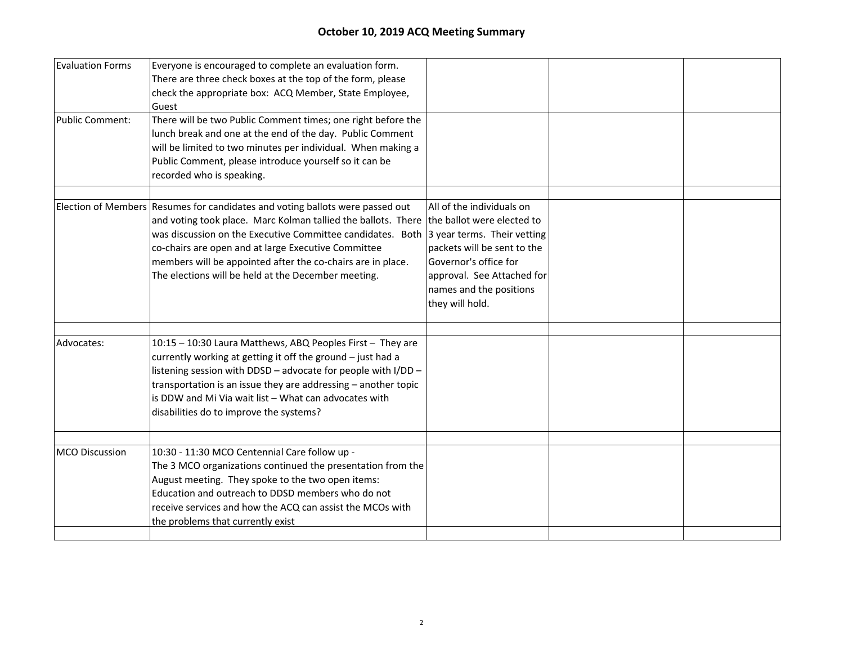| <b>Evaluation Forms</b> | Everyone is encouraged to complete an evaluation form.<br>There are three check boxes at the top of the form, please                                                                                                                                                                                                                                                                                                                             |                                                                                                                                                               |  |
|-------------------------|--------------------------------------------------------------------------------------------------------------------------------------------------------------------------------------------------------------------------------------------------------------------------------------------------------------------------------------------------------------------------------------------------------------------------------------------------|---------------------------------------------------------------------------------------------------------------------------------------------------------------|--|
|                         | check the appropriate box: ACQ Member, State Employee,<br>Guest                                                                                                                                                                                                                                                                                                                                                                                  |                                                                                                                                                               |  |
| <b>Public Comment:</b>  | There will be two Public Comment times; one right before the<br>lunch break and one at the end of the day. Public Comment<br>will be limited to two minutes per individual. When making a<br>Public Comment, please introduce yourself so it can be<br>recorded who is speaking.                                                                                                                                                                 |                                                                                                                                                               |  |
|                         | Election of Members Resumes for candidates and voting ballots were passed out<br>and voting took place. Marc Kolman tallied the ballots. There the ballot were elected to<br>was discussion on the Executive Committee candidates. Both 3 year terms. Their vetting<br>co-chairs are open and at large Executive Committee<br>members will be appointed after the co-chairs are in place.<br>The elections will be held at the December meeting. | All of the individuals on<br>packets will be sent to the<br>Governor's office for<br>approval. See Attached for<br>names and the positions<br>they will hold. |  |
| Advocates:              | 10:15 - 10:30 Laura Matthews, ABQ Peoples First - They are<br>currently working at getting it off the ground - just had a<br>listening session with DDSD - advocate for people with I/DD -<br>transportation is an issue they are addressing - another topic<br>is DDW and Mi Via wait list - What can advocates with<br>disabilities do to improve the systems?                                                                                 |                                                                                                                                                               |  |
| <b>MCO Discussion</b>   | 10:30 - 11:30 MCO Centennial Care follow up -<br>The 3 MCO organizations continued the presentation from the<br>August meeting. They spoke to the two open items:<br>Education and outreach to DDSD members who do not<br>receive services and how the ACQ can assist the MCOs with<br>the problems that currently exist                                                                                                                         |                                                                                                                                                               |  |
|                         |                                                                                                                                                                                                                                                                                                                                                                                                                                                  |                                                                                                                                                               |  |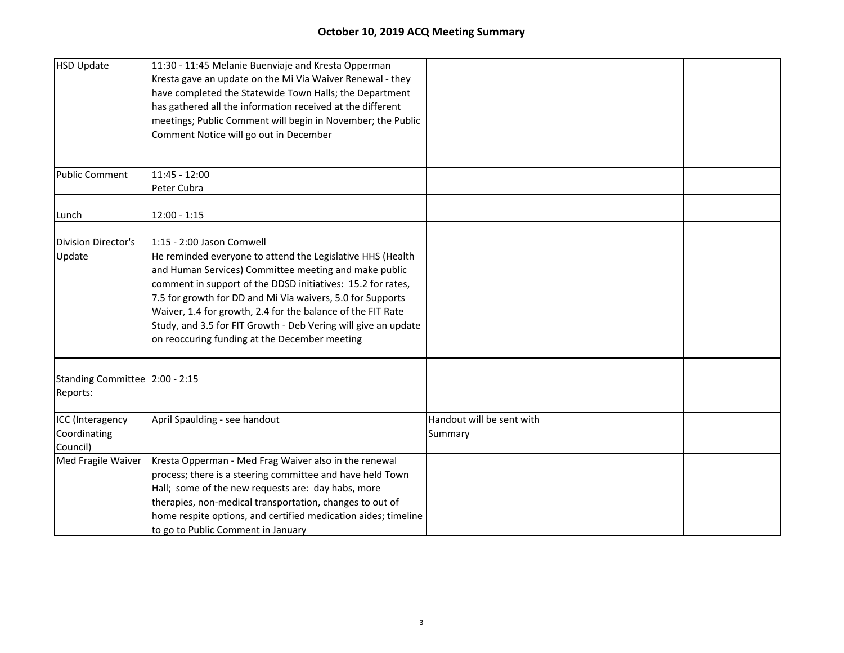| HSD Update                     | 11:30 - 11:45 Melanie Buenviaje and Kresta Opperman            |                           |  |
|--------------------------------|----------------------------------------------------------------|---------------------------|--|
|                                | Kresta gave an update on the Mi Via Waiver Renewal - they      |                           |  |
|                                | have completed the Statewide Town Halls; the Department        |                           |  |
|                                | has gathered all the information received at the different     |                           |  |
|                                | meetings; Public Comment will begin in November; the Public    |                           |  |
|                                | Comment Notice will go out in December                         |                           |  |
|                                |                                                                |                           |  |
|                                |                                                                |                           |  |
| <b>Public Comment</b>          | 11:45 - 12:00                                                  |                           |  |
|                                | Peter Cubra                                                    |                           |  |
|                                |                                                                |                           |  |
| Lunch                          | $12:00 - 1:15$                                                 |                           |  |
|                                | 1:15 - 2:00 Jason Cornwell                                     |                           |  |
| <b>Division Director's</b>     |                                                                |                           |  |
| Update                         | He reminded everyone to attend the Legislative HHS (Health     |                           |  |
|                                | and Human Services) Committee meeting and make public          |                           |  |
|                                | comment in support of the DDSD initiatives: 15.2 for rates,    |                           |  |
|                                | 7.5 for growth for DD and Mi Via waivers, 5.0 for Supports     |                           |  |
|                                | Waiver, 1.4 for growth, 2.4 for the balance of the FIT Rate    |                           |  |
|                                | Study, and 3.5 for FIT Growth - Deb Vering will give an update |                           |  |
|                                | on reoccuring funding at the December meeting                  |                           |  |
|                                |                                                                |                           |  |
| Standing Committee 2:00 - 2:15 |                                                                |                           |  |
| Reports:                       |                                                                |                           |  |
| ICC (Interagency               | April Spaulding - see handout                                  | Handout will be sent with |  |
| Coordinating                   |                                                                | Summary                   |  |
| Council)                       |                                                                |                           |  |
| Med Fragile Waiver             | Kresta Opperman - Med Frag Waiver also in the renewal          |                           |  |
|                                | process; there is a steering committee and have held Town      |                           |  |
|                                | Hall; some of the new requests are: day habs, more             |                           |  |
|                                | therapies, non-medical transportation, changes to out of       |                           |  |
|                                | home respite options, and certified medication aides; timeline |                           |  |
|                                | to go to Public Comment in January                             |                           |  |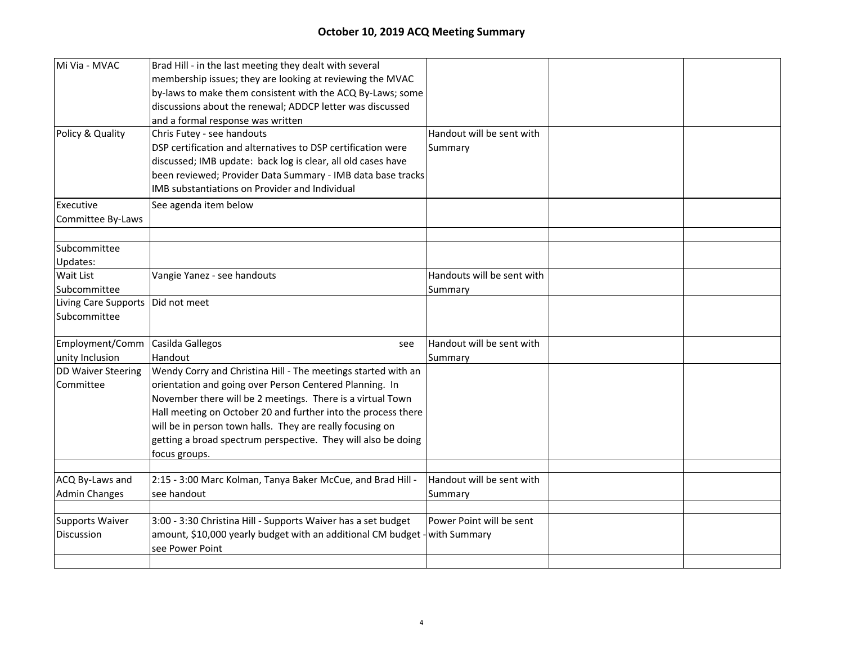| Mi Via - MVAC                       | Brad Hill - in the last meeting they dealt with several                    |                            |  |
|-------------------------------------|----------------------------------------------------------------------------|----------------------------|--|
|                                     | membership issues; they are looking at reviewing the MVAC                  |                            |  |
|                                     | by-laws to make them consistent with the ACQ By-Laws; some                 |                            |  |
|                                     | discussions about the renewal; ADDCP letter was discussed                  |                            |  |
|                                     | and a formal response was written                                          |                            |  |
| Policy & Quality                    | Chris Futey - see handouts                                                 | Handout will be sent with  |  |
|                                     | DSP certification and alternatives to DSP certification were               | Summary                    |  |
|                                     | discussed; IMB update: back log is clear, all old cases have               |                            |  |
|                                     | been reviewed; Provider Data Summary - IMB data base tracks                |                            |  |
|                                     | IMB substantiations on Provider and Individual                             |                            |  |
| Executive                           | See agenda item below                                                      |                            |  |
| Committee By-Laws                   |                                                                            |                            |  |
|                                     |                                                                            |                            |  |
| Subcommittee                        |                                                                            |                            |  |
| Updates:                            |                                                                            |                            |  |
| Wait List                           | Vangie Yanez - see handouts                                                | Handouts will be sent with |  |
| Subcommittee                        |                                                                            | Summary                    |  |
| Living Care Supports   Did not meet |                                                                            |                            |  |
| Subcommittee                        |                                                                            |                            |  |
| Employment/Comm                     | Casilda Gallegos<br>see                                                    | Handout will be sent with  |  |
| unity Inclusion                     | Handout                                                                    | Summary                    |  |
| <b>DD Waiver Steering</b>           | Wendy Corry and Christina Hill - The meetings started with an              |                            |  |
| Committee                           | orientation and going over Person Centered Planning. In                    |                            |  |
|                                     | November there will be 2 meetings. There is a virtual Town                 |                            |  |
|                                     | Hall meeting on October 20 and further into the process there              |                            |  |
|                                     | will be in person town halls. They are really focusing on                  |                            |  |
|                                     | getting a broad spectrum perspective. They will also be doing              |                            |  |
|                                     | focus groups.                                                              |                            |  |
|                                     |                                                                            |                            |  |
| ACQ By-Laws and                     | 2:15 - 3:00 Marc Kolman, Tanya Baker McCue, and Brad Hill -                | Handout will be sent with  |  |
| <b>Admin Changes</b>                | see handout                                                                | Summary                    |  |
| <b>Supports Waiver</b>              | 3:00 - 3:30 Christina Hill - Supports Waiver has a set budget              | Power Point will be sent   |  |
| Discussion                          | amount, \$10,000 yearly budget with an additional CM budget - with Summary |                            |  |
|                                     | see Power Point                                                            |                            |  |
|                                     |                                                                            |                            |  |